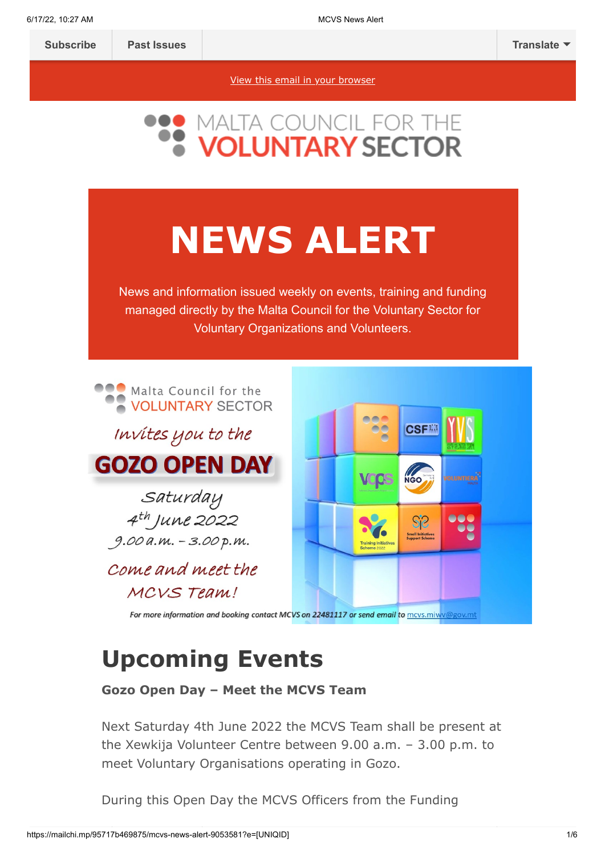[View this email in your browser](https://mailchi.mp/95717b469875/mcvs-news-alert-9053581?e=[UNIQID])



# **NEWS ALERT**

News and information issued weekly on events, training and funding managed directly by the Malta Council for the Voluntary Sector for Voluntary Organizations and Volunteers.



# **Upcoming Events**

#### **Gozo Open Day – Meet the MCVS Team**

Next Saturday 4th June 2022 the MCVS Team shall be present at the Xewkija Volunteer Centre between 9.00 a.m. – 3.00 p.m. to meet Voluntary Organisations operating in Gozo.

During this Open Day the MCVS Officers from the Funding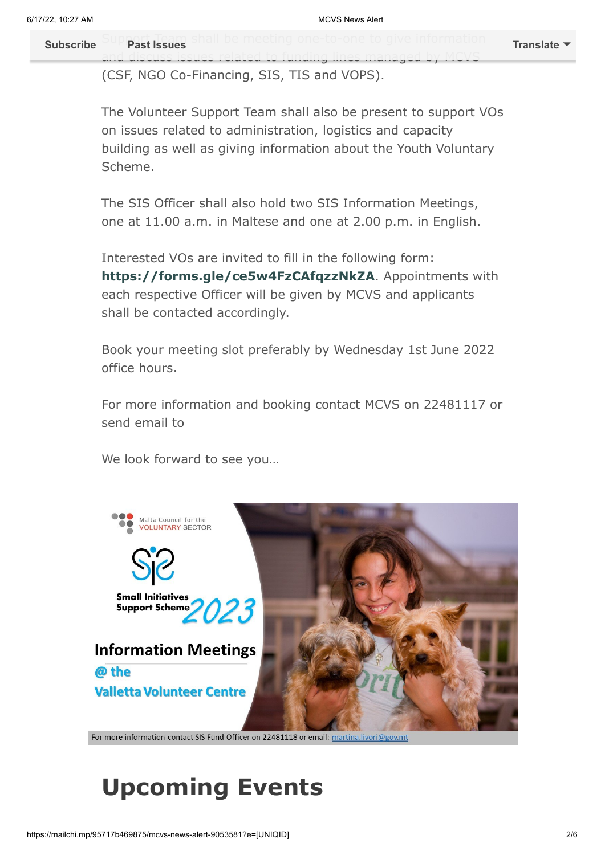S[upport Team sh](https://us14.campaign-archive.com/home/?u=683cbfbd88de4de43adbf2d29&id=2f83d2c47d)all be meeting one-to-one to give information **[Subscribe](http://eepurl.com/h2Pv5b) Past Issues [Translate](javascript:;)**

and discuss issues related to funding lines managed by MCVS

(CSF, NGO Co-Financing, SIS, TIS and VOPS).

The Volunteer Support Team shall also be present to support VOs on issues related to administration, logistics and capacity building as well as giving information about the Youth Voluntary Scheme.

The SIS Officer shall also hold two SIS Information Meetings, one at 11.00 a.m. in Maltese and one at 2.00 p.m. in English.

Interested VOs are invited to fill in the following form: **<https://forms.gle/ce5w4FzCAfqzzNkZA>**. Appointments with each respective Officer will be given by MCVS and applicants shall be contacted accordingly.

Book your meeting slot preferably by Wednesday 1st June 2022 office hours.

For more information and booking contact MCVS on 22481117 or send email to

We look forward to see you…



For more information contact SIS Fund Officer on 22481118 or email: martina.livori@gov.mt

## **Upcoming Events**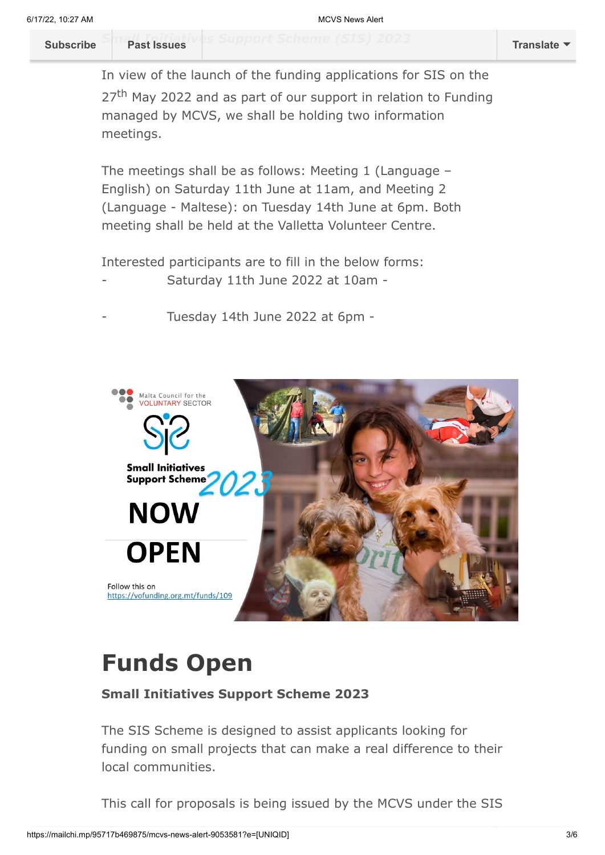**Past Issues** 

In view of the launch of the funding applications for SIS on the 27<sup>th</sup> May 2022 and as part of our support in relation to Funding managed by MCVS, we shall be holding two information meetings.

The meetings shall be as follows: Meeting 1 (Language – English) on Saturday 11th June at 11am, and Meeting 2 (Language - Maltese): on Tuesday 14th June at 6pm. Both meeting shall be held at the Valletta Volunteer Centre.

Interested participants are to fill in the below forms:

- Saturday 11th June 2022 at 10am
	- Tuesday 14th June 2022 at 6pm -



# **Funds Open**

### **Small Initiatives Support Scheme 2023**

The SIS Scheme is designed to assist applicants looking for funding on small projects that can make a real difference to their local communities.

This call for proposals is being issued by the MCVS under the SIS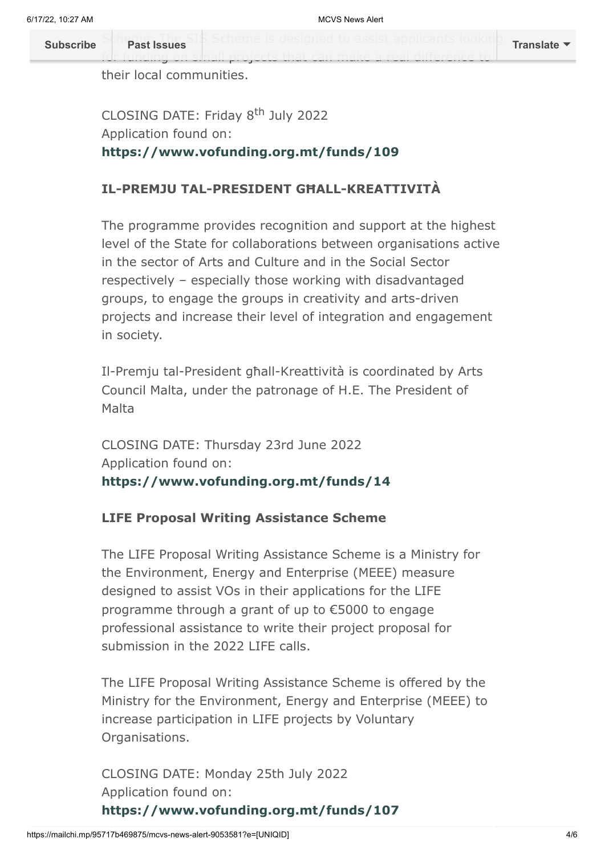S[cheme. The SIS](https://us14.campaign-archive.com/home/?u=683cbfbd88de4de43adbf2d29&id=2f83d2c47d) Scheme is designed to assist applicants looking **[Subscribe](http://eepurl.com/h2Pv5b) Past Issues [Translate](javascript:;)**

for funding on small projects that can make a real difference to

their local communities.

### CLOSING DATE: Friday 8<sup>th</sup> July 2022 Application found on: **<https://www.vofunding.org.mt/funds/109>**

### **IL-PREMJU TAL-PRESIDENT GĦALL-KREATTIVITÀ**

The programme provides recognition and support at the highest level of the State for collaborations between organisations active in the sector of Arts and Culture and in the Social Sector respectively – especially those working with disadvantaged groups, to engage the groups in creativity and arts-driven projects and increase their level of integration and engagement in society.

Il-Premju tal-President għall-Kreattività is coordinated by Arts Council Malta, under the patronage of H.E. The President of Malta

CLOSING DATE: Thursday 23rd June 2022 Application found on: **<https://www.vofunding.org.mt/funds/14>**

#### **LIFE Proposal Writing Assistance Scheme**

The LIFE Proposal Writing Assistance Scheme is a Ministry for the Environment, Energy and Enterprise (MEEE) measure designed to assist VOs in their applications for the LIFE programme through a grant of up to €5000 to engage professional assistance to write their project proposal for submission in the 2022 LIFE calls.

The LIFE Proposal Writing Assistance Scheme is offered by the Ministry for the Environment, Energy and Enterprise (MEEE) to increase participation in LIFE projects by Voluntary Organisations.

CLOSING DATE: Monday 25th July 2022 Application found on: **<https://www.vofunding.org.mt/funds/107>**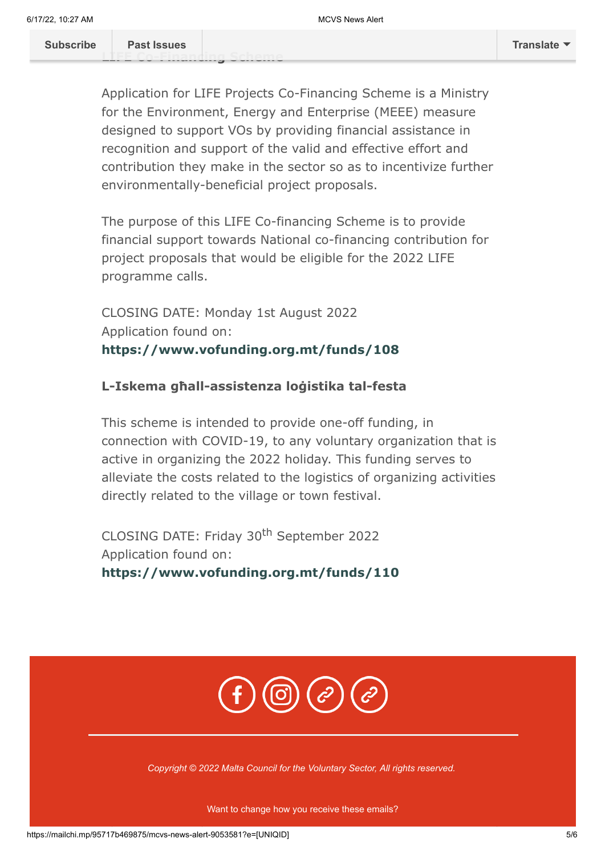Application for LIFE Projects Co-Financing Scheme is a Ministry for the Environment, Energy and Enterprise (MEEE) measure designed to support VOs by providing financial assistance in recognition and support of the valid and effective effort and contribution they make in the sector so as to incentivize further environmentally-beneficial project proposals.

The purpose of this LIFE Co-financing Scheme is to provide financial support towards National co-financing contribution for project proposals that would be eligible for the 2022 LIFE programme calls.

CLOSING DATE: Monday 1st August 2022 Application found on: **<https://www.vofunding.org.mt/funds/108>**

#### **L-Iskema għall-assistenza loġistika tal-festa**

This scheme is intended to provide one-off funding, in connection with COVID-19, to any voluntary organization that is active in organizing the 2022 holiday. This funding serves to alleviate the costs related to the logistics of organizing activities directly related to the village or town festival.

CLOSING DATE: Friday 30th September 2022 Application found on: **<https://www.vofunding.org.mt/funds/110>**



*Copyright © 2022 Malta Council for the Voluntary Sector, All rights reserved.*

Want to change how you receive these emails?